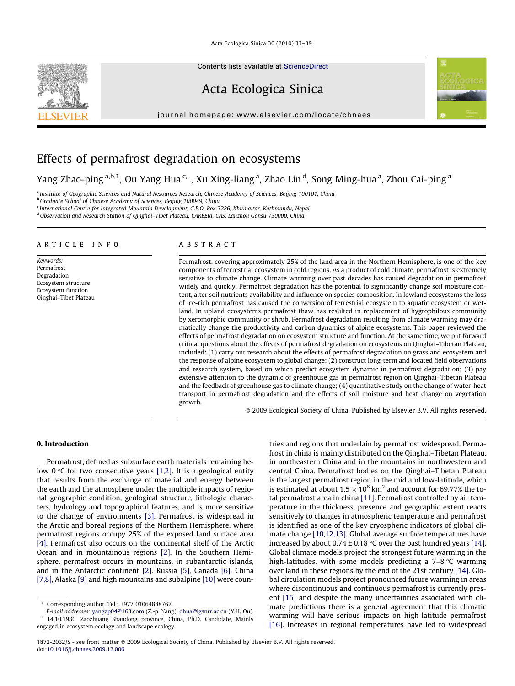Acta Ecologica Sinica 30 (2010) 33–39

Contents lists available at [ScienceDirect](http://www.sciencedirect.com/science/journal/18722032)

# Acta Ecologica Sinica

journal homepage: [www.elsevier.com/locate/chnaes](http://www.elsevier.com/locate/chnaes)



## Effects of permafrost degradation on ecosystems

Yang Zhao-ping <sup>a,b,1</sup>, Ou Yang Hua <sup>c,</sup>\*, Xu Xing-liang <sup>a</sup>, Zhao Lin <sup>d</sup>, Song Ming-hua <sup>a</sup>, Zhou Cai-ping <sup>a</sup>

a Institute of Geographic Sciences and Natural Resources Research, Chinese Academy of Sciences, Beijing 100101, China

**b** Graduate School of Chinese Academy of Sciences, Beijing 100049, China

<sup>c</sup> International Centre for Integrated Mountain Development, G.P.O. Box 3226, Khumaltar, Kathmandu, Nepal

d Observation and Research Station of Qinghai-Tibet Plateau, CAREERI, CAS, Lanzhou Gansu 730000, China

#### article info

Keywords: Permafrost Degradation Ecosystem structure Ecosystem function Qinghai–Tibet Plateau

#### ABSTRACT

Permafrost, covering approximately 25% of the land area in the Northern Hemisphere, is one of the key components of terrestrial ecosystem in cold regions. As a product of cold climate, permafrost is extremely sensitive to climate change. Climate warming over past decades has caused degradation in permafrost widely and quickly. Permafrost degradation has the potential to significantly change soil moisture content, alter soil nutrients availability and influence on species composition. In lowland ecosystems the loss of ice-rich permafrost has caused the conversion of terrestrial ecosystem to aquatic ecosystem or wetland. In upland ecosystems permafrost thaw has resulted in replacement of hygrophilous community by xeromorphic community or shrub. Permafrost degradation resulting from climate warming may dramatically change the productivity and carbon dynamics of alpine ecosystems. This paper reviewed the effects of permafrost degradation on ecosystem structure and function. At the same time, we put forward critical questions about the effects of permafrost degradation on ecosystems on Qinghai–Tibetan Plateau, included: (1) carry out research about the effects of permafrost degradation on grassland ecosystem and the response of alpine ecosystem to global change; (2) construct long-term and located field observations and research system, based on which predict ecosystem dynamic in permafrost degradation; (3) pay extensive attention to the dynamic of greenhouse gas in permafrost region on Qinghai–Tibetan Plateau and the feedback of greenhouse gas to climate change; (4) quantitative study on the change of water-heat transport in permafrost degradation and the effects of soil moisture and heat change on vegetation growth.

- 2009 Ecological Society of China. Published by Elsevier B.V. All rights reserved.

## 0. Introduction

Permafrost, defined as subsurface earth materials remaining below  $0^{\circ}$ C for two consecutive years [\[1,2\].](#page-5-0) It is a geological entity that results from the exchange of material and energy between the earth and the atmosphere under the multiple impacts of regional geographic condition, geological structure, lithologic characters, hydrology and topographical features, and is more sensitive to the change of environments [\[3\]](#page-5-0). Permafrost is widespread in the Arctic and boreal regions of the Northern Hemisphere, where permafrost regions occupy 25% of the exposed land surface area [\[4\]](#page-5-0). Permafrost also occurs on the continental shelf of the Arctic Ocean and in mountainous regions [\[2\].](#page-5-0) In the Southern Hemisphere, permafrost occurs in mountains, in subantarctic islands, and in the Antarctic continent [\[2\]](#page-5-0). Russia [\[5\]](#page-5-0), Canada [\[6\],](#page-5-0) China [\[7,8\],](#page-5-0) Alaska [\[9\]](#page-5-0) and high mountains and subalpine [\[10\]](#page-5-0) were countries and regions that underlain by permafrost widespread. Permafrost in china is mainly distributed on the Qinghai–Tibetan Plateau, in northeastern China and in the mountains in northwestern and central China. Permafrost bodies on the Qinghai–Tibetan Plateau is the largest permafrost region in the mid and low-latitude, which is estimated at about  $1.5 \times 10^6$  km<sup>2</sup> and account for 69.77% the total permafrost area in china [\[11\].](#page-5-0) Permafrost controlled by air temperature in the thickness, presence and geographic extent reacts sensitively to changes in atmospheric temperature and permafrost is identified as one of the key cryospheric indicators of global climate change [\[10,12,13\]](#page-5-0). Global average surface temperatures have increased by about  $0.74 \pm 0.18$  °C over the past hundred years [\[14\].](#page-5-0) Global climate models project the strongest future warming in the high-latitudes, with some models predicting a  $7-8$  °C warming over land in these regions by the end of the 21st century [\[14\]](#page-5-0). Global circulation models project pronounced future warming in areas where discontinuous and continuous permafrost is currently present [\[15\]](#page-5-0) and despite the many uncertainties associated with climate predictions there is a general agreement that this climatic warming will have serious impacts on high-latitude permafrost [\[16\].](#page-5-0) Increases in regional temperatures have led to widespread

Corresponding author. Tel.: +977 01064888767.

E-mail addresses: [yangzp04@163.com](mailto:yangzp04@163.com) (Z.-p. Yang), [ohua@igsnrr.ac.cn](mailto:ohua@igsnrr.ac.cn) (Y.H. Ou). <sup>1</sup> 14.10.1980, Zaozhuang Shandong province, China, Ph.D. Candidate, Mainly engaged in ecosystem ecology and landscape ecology.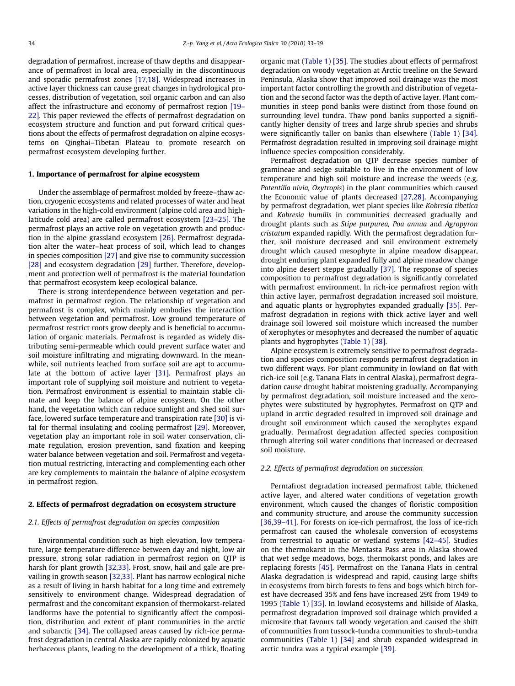degradation of permafrost, increase of thaw depths and disappearance of permafrost in local area, especially in the discontinuous and sporadic permafrost zones [\[17,18\]](#page-5-0). Widespread increases in active layer thickness can cause great changes in hydrological processes, distribution of vegetation, soil organic carbon and can also affect the infrastructure and economy of permafrost region [\[19–](#page-5-0) [22\]](#page-5-0). This paper reviewed the effects of permafrost degradation on ecosystem structure and function and put forward critical questions about the effects of permafrost degradation on alpine ecosystems on Qinghai–Tibetan Plateau to promote research on permafrost ecosystem developing further.

## 1. Importance of permafrost for alpine ecosystem

Under the assemblage of permafrost molded by freeze–thaw action, cryogenic ecosystems and related processes of water and heat variations in the high-cold environment (alpine cold area and highlatitude cold area) are called permafrost ecosystem [\[23–25\].](#page-5-0) The permafrost plays an active role on vegetation growth and production in the alpine grassland ecosystem [\[26\].](#page-6-0) Permafrost degradation alter the water–heat process of soil, which lead to changes in species composition [\[27\]](#page-6-0) and give rise to community succession [\[28\]](#page-6-0) and ecosystem degradation [\[29\]](#page-6-0) further. Therefore, development and protection well of permafrost is the material foundation that permafrost ecosystem keep ecological balance.

There is strong interdependence between vegetation and permafrost in permafrost region. The relationship of vegetation and permafrost is complex, which mainly embodies the interaction between vegetation and permafrost. Low ground temperature of permafrost restrict roots grow deeply and is beneficial to accumulation of organic materials. Permafrost is regarded as widely distributing semi-permeable which could prevent surface water and soil moisture infiltrating and migrating downward. In the meanwhile, soil nutrients leached from surface soil are apt to accumulate at the bottom of active layer [\[31\]](#page-6-0). Permafrost plays an important role of supplying soil moisture and nutrient to vegetation. Permafrost environment is essential to maintain stable climate and keep the balance of alpine ecosystem. On the other hand, the vegetation which can reduce sunlight and shed soil surface, lowered surface temperature and transpiration rate [\[30\]](#page-6-0) is vital for thermal insulating and cooling permafrost [\[29\]](#page-6-0). Moreover, vegetation play an important role in soil water conservation, climate regulation, erosion prevention, sand fixation and keeping water balance between vegetation and soil. Permafrost and vegetation mutual restricting, interacting and complementing each other are key complements to maintain the balance of alpine ecosystem in permafrost region.

#### 2. Effects of permafrost degradation on ecosystem structure

#### 2.1. Effects of permafrost degradation on species composition

Environmental condition such as high elevation, low temperature, large temperature difference between day and night, low air pressure, strong solar radiation in permafrost region on QTP is harsh for plant growth [\[32,33\]](#page-6-0). Frost, snow, hail and gale are prevailing in growth season [\[32,33\].](#page-6-0) Plant has narrow ecological niche as a result of living in harsh habitat for a long time and extremely sensitively to environment change. Widespread degradation of permafrost and the concomitant expansion of thermokarst-related landforms have the potential to significantly affect the composition, distribution and extent of plant communities in the arctic and subarctic [\[34\]](#page-6-0). The collapsed areas caused by rich-ice permafrost degradation in central Alaska are rapidly colonized by aquatic herbaceous plants, leading to the development of a thick, floating organic mat [\(Table 1\)](#page-2-0) [\[35\].](#page-6-0) The studies about effects of permafrost degradation on woody vegetation at Arctic treeline on the Seward Peninsula, Alaska show that improved soil drainage was the most important factor controlling the growth and distribution of vegetation and the second factor was the depth of active layer. Plant communities in steep pond banks were distinct from those found on surrounding level tundra. Thaw pond banks supported a significantly higher density of trees and large shrub species and shrubs were significantly taller on banks than elsewhere [\(Table 1\)](#page-2-0) [\[34\].](#page-6-0) Permafrost degradation resulted in improving soil drainage might influence species composition considerably.

Permafrost degradation on QTP decrease species number of gramineae and sedge suitable to live in the environment of low temperature and high soil moisture and increase the weeds (e.g. Potentilla nivia, Oxytropis) in the plant communities which caused the Economic value of plants decreased [\[27,28\].](#page-6-0) Accompanying by permafrost degradation, wet plant species like Kobresia tibetica and Kobresia humilis in communities decreased gradually and drought plants such as Stipe purpurea, Poa annua and Agropyron cristatum expanded rapidly. With the permafrost degradation further, soil moisture decreased and soil environment extremely drought which caused mesophyte in alpine meadow disappear, drought enduring plant expanded fully and alpine meadow change into alpine desert steppe gradually [\[37\].](#page-6-0) The response of species composition to permafrost degradation is significantly correlated with permafrost environment. In rich-ice permafrost region with thin active layer, permafrost degradation increased soil moisture, and aquatic plants or hygrophytes expanded gradually [\[35\]](#page-6-0). Permafrost degradation in regions with thick active layer and well drainage soil lowered soil moisture which increased the number of xerophytes or mesophytes and decreased the number of aquatic plants and hygrophytes [\(Table 1\)](#page-2-0) [\[38\].](#page-6-0)

Alpine ecosystem is extremely sensitive to permafrost degradation and species composition responds permafrost degradation in two different ways. For plant community in lowland on flat with rich-ice soil (e.g. Tanana Flats in central Alaska), permafrost degradation cause drought habitat moistening gradually. Accompanying by permafrost degradation, soil moisture increased and the xerophytes were substituted by hygrophytes. Permafrost on QTP and upland in arctic degraded resulted in improved soil drainage and drought soil environment which caused the xerophytes expand gradually. Permafrost degradation affected species composition through altering soil water conditions that increased or decreased soil moisture.

#### 2.2. Effects of permafrost degradation on succession

Permafrost degradation increased permafrost table, thickened active layer, and altered water conditions of vegetation growth environment, which caused the changes of floristic composition and community structure, and arouse the community succession [\[36,39–41\].](#page-6-0) For forests on ice-rich permafrost, the loss of ice-rich permafrost can caused the wholesale conversion of ecosystems from terrestrial to aquatic or wetland systems [\[42–45\]](#page-6-0). Studies on the thermokarst in the Mentasta Pass area in Alaska showed that wet sedge meadows, bogs, thermokarst ponds, and lakes are replacing forests [\[45\]](#page-6-0). Permafrost on the Tanana Flats in central Alaska degradation is widespread and rapid, causing large shifts in ecosystems from birch forests to fens and bogs which birch forest have decreased 35% and fens have increased 29% from 1949 to 1995 [\(Table 1](#page-2-0)) [\[35\]](#page-6-0). In lowland ecosystems and hillside of Alaska, permafrost degradation improved soil drainage which provided a microsite that favours tall woody vegetation and caused the shift of communities from tussock-tundra communities to shrub-tundra communities [\(Table 1](#page-2-0)) [\[34\]](#page-6-0) and shrub expanded widespread in arctic tundra was a typical example [\[39\]](#page-6-0).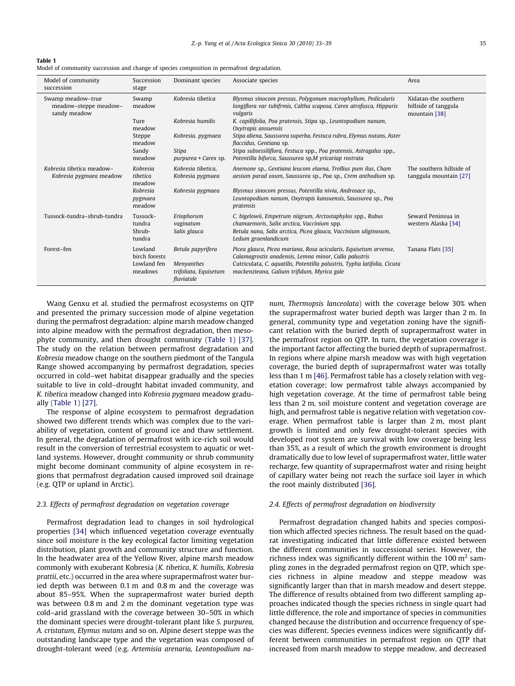<span id="page-2-0"></span>

| ۰. |  |
|----|--|
|----|--|

|  | Model of community succession and change of species composition in permafrost degradation. |  |  |  |  |  |
|--|--------------------------------------------------------------------------------------------|--|--|--|--|--|
|  |                                                                                            |  |  |  |  |  |

| Model of community<br>succession                           | Succession<br>stage                                | Dominant species                                                       | Associate species                                                                                                                                                                                                                                   | Area                                                          |
|------------------------------------------------------------|----------------------------------------------------|------------------------------------------------------------------------|-----------------------------------------------------------------------------------------------------------------------------------------------------------------------------------------------------------------------------------------------------|---------------------------------------------------------------|
| Swamp meadow-true<br>meadow-steppe meadow-<br>sandy meadow | Swamp<br>meadow                                    | Kobresia tibetica                                                      | Blysmus sinocom pressus, Polygonum macrophyllum, Pedicularis<br>longiflora var tubifrmis, Caltha scaposa, Carex atrofusca, Hippuris<br>vulgaris                                                                                                     | Xidatan-the southern<br>hillside of tanggula<br>mountain [38] |
|                                                            | Ture<br>meadow                                     | Kobresia humilis                                                       | K. capillifolia, Poa pratensis, Stipa sp., Leuntopodium nanum,<br>Oxytrapis ansuensis                                                                                                                                                               |                                                               |
|                                                            | Steppe<br>meadow                                   | Kobresia, pygmaea                                                      | Stipa aliena, Saussurea superba, Festuca rubra, Elymus nutans, Aster<br>flaccidus, Gentiana sp.                                                                                                                                                     |                                                               |
|                                                            | Sandy<br>meadow                                    | <b>Stipa</b><br>purpurea + Carex sp.                                   | Stipa subsessiliflora, Festuca spp., Poa pratensis, Astragalus spp.,<br>Potentilla bifurca, Saussurea sp,M yricariap rostrata                                                                                                                       |                                                               |
| Kobresia tibetica meadow-<br>Kobresia pygmaea meadow       | Kobresia<br>tibetica<br>meadow                     | Kobresia tibetica,<br>Kobresia pygmaea                                 | Anemone sp., Gentiana leucom elaena, Trollius pum ilus, Cham<br>aesium parad oxum, Saussurea sp., Poa sp., Crem anthodium sp.                                                                                                                       | The southern hillside of<br>tanggula mountain [27]            |
|                                                            | Kobresia<br>pygmaea<br>meadow                      | Kobresia pygmaea                                                       | Blysmus sinocom pressus, Potentilla nivia, Androsace sp.,<br>Leuntopodium nanum, Oxytrapis kansuensis, Saussurea sp., Poa<br>pratensis                                                                                                              |                                                               |
| Tussock-tundra-shrub-tundra                                | Tussock-<br>tundra<br>Shrub-<br>tundra             | Eriophorum<br>vaginatum<br>Salix glauca                                | C. bigelowii, Empetrum niigrum, Arctostaphylos spp., Rubus<br>chamaemoris, Salix arctica, Vaccinium spp.<br>Betula nana, Salix arctica, Picea glauca, Vaccinium uliginosum,<br>Ledum groenlandicum                                                  | Seward Peninsua in<br>western Alaska [34]                     |
| Forest-fen                                                 | Lowland<br>birch forests<br>Lowland fen<br>meadows | Betula papyrifera<br>Menyanthes<br>trifoliata, Equisetum<br>fluviatale | Picea glauca, Picea mariana, Rosa acicularis, Equisetum arvense,<br>Calamagrostis anadensis, Lemna minor, Calla palustris<br>Cutriculata, C. aquatilis, Potentilla palustris, Typha latifolia, Cicuta<br>mackenzieana, Galium trifidum, Myrica gale | Tanana Flats [35]                                             |

Wang Genxu et al. studied the permafrost ecosystems on QTP and presented the primary succession mode of alpine vegetation during the permafrost degradation: alpine marsh meadow changed into alpine meadow with the permafrost degradation, then mesophyte community, and then drought community (Table 1) [\[37\].](#page-6-0) The study on the relation between permafrost degradation and Kobresia meadow change on the southern piedmont of the Tangula Range showed accompanying by permafrost degradation, species occurred in cold–wet habitat disappear gradually and the species suitable to live in cold–drought habitat invaded community, and K. tibetica meadow changed into Kobresia pygmaea meadow gradually (Table 1) [\[27\].](#page-6-0)

The response of alpine ecosystem to permafrost degradation showed two different trends which was complex due to the variability of vegetation, content of ground ice and thaw settlement. In general, the degradation of permafrost with ice-rich soil would result in the conversion of terrestrial ecosystem to aquatic or wetland systems. However, drought community or shrub community might become dominant community of alpine ecosystem in regions that permafrost degradation caused improved soil drainage (e.g. QTP or upland in Arctic).

#### 2.3. Effects of permafrost degradation on vegetation coverage

Permafrost degradation lead to changes in soil hydrological properties [\[34\]](#page-6-0) which influenced vegetation coverage eventually since soil moisture is the key ecological factor limiting vegetation distribution, plant growth and community structure and function. In the headwater area of the Yellow River, alpine marsh meadow commonly with exuberant Kobresia (K. tibetica, K. humilis, Kobresia prattii, etc.) occurred in the area where suprapermafrost water buried depth was between 0.1 m and 0.8 m and the coverage was about 85–95%. When the suprapermafrost water buried depth was between 0.8 m and 2 m the dominant vegetation type was cold–arid grassland with the coverage between 30–50% in which the dominant species were drought-tolerant plant like S. purpurea, A. cristatum, Elymus nutans and so on. Alpine desert steppe was the outstanding landscape type and the vegetation was composed of drought-tolerant weed (e.g. Artemisia arenaria, Leontopodium nanum, Thermopsis lanceolata) with the coverage below 30% when the suprapermafrost water buried depth was larger than 2 m. In general, community type and vegetation zoning have the significant relation with the buried depth of suprapermafrost water in the permafrost region on QTP. In turn, the vegetation coverage is the important factor affecting the buried depth of suprapermafrost. In regions where alpine marsh meadow was with high vegetation coverage, the buried depth of suprapermafrost water was totally less than 1 m [\[46\]](#page-6-0). Permafrost table has a closely relation with vegetation coverage; low permafrost table always accompanied by high vegetation coverage. At the time of permafrost table being less than 2 m, soil moisture content and vegetation coverage are high, and permafrost table is negative relation with vegetation coverage. When permafrost table is larger than 2 m, most plant growth is limited and only few drought-tolerant species with developed root system are survival with low coverage being less than 35%, as a result of which the growth environment is drought dramatically due to low level of suprapermafrost water, little water recharge, few quantity of suprapermafrost water and rising height of capillary water being not reach the surface soil layer in which the root mainly distributed [\[36\]](#page-6-0).

#### 2.4. Effects of permafrost degradation on biodiversity

Permafrost degradation changed habits and species composition which affected species richness. The result based on the quadrat investigating indicated that little difference existed between the different communities in successional series. However, the richness index was significantly different within the 100  $m<sup>2</sup>$  sampling zones in the degraded permafrost region on QTP, which species richness in alpine meadow and steppe meadow was significantly larger than that in marsh meadow and desert steppe. The difference of results obtained from two different sampling approaches indicated though the species richness in single quart had little difference, the role and importance of species in communities changed because the distribution and occurrence frequency of species was different. Species evenness indices were significantly different between communities in permafrost region on QTP that increased from marsh meadow to steppe meadow, and decreased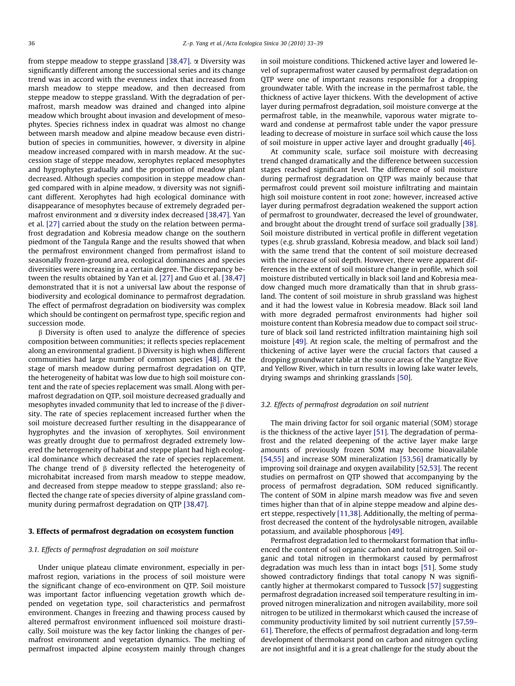from steppe meadow to steppe grassland [\[38,47\].](#page-6-0)  $\alpha$  Diversity was significantly different among the successional series and its change trend was in accord with the evenness index that increased from marsh meadow to steppe meadow, and then decreased from steppe meadow to steppe grassland. With the degradation of permafrost, marsh meadow was drained and changed into alpine meadow which brought about invasion and development of mesophytes. Species richness index in quadrat was almost no change between marsh meadow and alpine meadow because even distribution of species in communities, however,  $\alpha$  diversity in alpine meadow increased compared with in marsh meadow. At the succession stage of steppe meadow, xerophytes replaced mesophytes and hygrophytes gradually and the proportion of meadow plant decreased. Although species composition in steppe meadow changed compared with in alpine meadow,  $\alpha$  diversity was not significant different. Xerophytes had high ecological dominance with disappearance of mesophytes because of extremely degraded permafrost environment and  $\alpha$  diversity index decreased [\[38,47\]](#page-6-0). Yan et al. [\[27\]](#page-6-0) carried about the study on the relation between permafrost degradation and Kobresia meadow change on the southern piedmont of the Tangula Range and the results showed that when the permafrost environment changed from permafrost island to seasonally frozen-ground area, ecological dominances and species diversities were increasing in a certain degree. The discrepancy between the results obtained by Yan et al. [\[27\]](#page-6-0) and Guo et al. [\[38,47\]](#page-6-0) demonstrated that it is not a universal law about the response of biodiversity and ecological dominance to permafrost degradation. The effect of permafrost degradation on biodiversity was complex which should be contingent on permafrost type, specific region and succession mode.

 $\beta$  Diversity is often used to analyze the difference of species composition between communities; it reflects species replacement along an environmental gradient.  $\beta$  Diversity is high when different communities had large number of common species [\[48\].](#page-6-0) At the stage of marsh meadow during permafrost degradation on QTP, the heterogeneity of habitat was low due to high soil moisture content and the rate of species replacement was small. Along with permafrost degradation on QTP, soil moisture decreased gradually and mesophytes invaded community that led to increase of the  $\beta$  diversity. The rate of species replacement increased further when the soil moisture decreased further resulting in the disappearance of hygrophytes and the invasion of xerophytes. Soil environment was greatly drought due to permafrost degraded extremely lowered the heterogeneity of habitat and steppe plant had high ecological dominance which decreased the rate of species replacement. The change trend of  $\beta$  diversity reflected the heterogeneity of microhabitat increased from marsh meadow to steppe meadow, and decreased from steppe meadow to steppe grassland; also reflected the change rate of species diversity of alpine grassland community during permafrost degradation on QTP [\[38,47\]](#page-6-0).

#### 3. Effects of permafrost degradation on ecosystem function

## 3.1. Effects of permafrost degradation on soil moisture

Under unique plateau climate environment, especially in permafrost region, variations in the process of soil moisture were the significant change of eco-environment on QTP. Soil moisture was important factor influencing vegetation growth which depended on vegetation type, soil characteristics and permafrost environment. Changes in freezing and thawing process caused by altered permafrost environment influenced soil moisture drastically. Soil moisture was the key factor linking the changes of permafrost environment and vegetation dynamics. The melting of permafrost impacted alpine ecosystem mainly through changes in soil moisture conditions. Thickened active layer and lowered level of suprapermafrost water caused by permafrost degradation on QTP were one of important reasons responsible for a dropping groundwater table. With the increase in the permafrost table, the thickness of active layer thickens. With the development of active layer during permafrost degradation, soil moisture converge at the permafrost table, in the meanwhile, vaporous water migrate toward and condense at permafrost table under the vapor pressure leading to decrease of moisture in surface soil which cause the loss of soil moisture in upper active layer and drought gradually [\[46\].](#page-6-0)

At community scale, surface soil moisture with decreasing trend changed dramatically and the difference between succession stages reached significant level. The difference of soil moisture during permafrost degradation on QTP was mainly because that permafrost could prevent soil moisture infiltrating and maintain high soil moisture content in root zone; however, increased active layer during permafrost degradation weakened the support action of permafrost to groundwater, decreased the level of groundwater, and brought about the drought trend of surface soil gradually [\[38\].](#page-6-0) Soil moisture distributed in vertical profile in different vegetation types (e.g. shrub grassland, Kobresia meadow, and black soil land) with the same trend that the content of soil moisture decreased with the increase of soil depth. However, there were apparent differences in the extent of soil moisture change in profile, which soil moisture distributed vertically in black soil land and Kobresia meadow changed much more dramatically than that in shrub grassland. The content of soil moisture in shrub grassland was highest and it had the lowest value in Kobresia meadow. Black soil land with more degraded permafrost environments had higher soil moisture content than Kobresia meadow due to compact soil structure of black soil land restricted infiltration maintaining high soil moisture [\[49\]](#page-6-0). At region scale, the melting of permafrost and the thickening of active layer were the crucial factors that caused a dropping groundwater table at the source areas of the Yangtze Rive and Yellow River, which in turn results in lowing lake water levels, drying swamps and shrinking grasslands [\[50\]](#page-6-0).

#### 3.2. Effects of permafrost degradation on soil nutrient

The main driving factor for soil organic material (SOM) storage is the thickness of the active layer [\[51\].](#page-6-0) The degradation of permafrost and the related deepening of the active layer make large amounts of previously frozen SOM may become bioavailable [\[54,55\]](#page-6-0) and increase SOM mineralization [\[53,56\]](#page-6-0) dramatically by improving soil drainage and oxygen availability [\[52,53\]](#page-6-0). The recent studies on permafrost on QTP showed that accompanying by the process of permafrost degradation, SOM reduced significantly. The content of SOM in alpine marsh meadow was five and seven times higher than that of in alpine steppe meadow and alpine desert steppe, respectively [\[11,38\]](#page-5-0). Additionally, the melting of permafrost decreased the content of the hydrolysable nitrogen, available potassium, and available phosphorous [\[49\]](#page-6-0).

Permafrost degradation led to thermokarst formation that influenced the content of soil organic carbon and total nitrogen. Soil organic and total nitrogen in thermokarst caused by permafrost degradation was much less than in intact bogs [\[51\].](#page-6-0) Some study showed contradictory findings that total canopy N was significantly higher at thermokarst compared to Tussock [\[57\]](#page-6-0) suggesting permafrost degradation increased soil temperature resulting in improved nitrogen mineralization and nitrogen availability, more soil nitrogen to be utilized in thermokarst which caused the increase of community productivity limited by soil nutrient currently [\[57,59–](#page-6-0) [61\]](#page-6-0). Therefore, the effects of permafrost degradation and long-term development of thermokarst pond on carbon and nitrogen cycling are not insightful and it is a great challenge for the study about the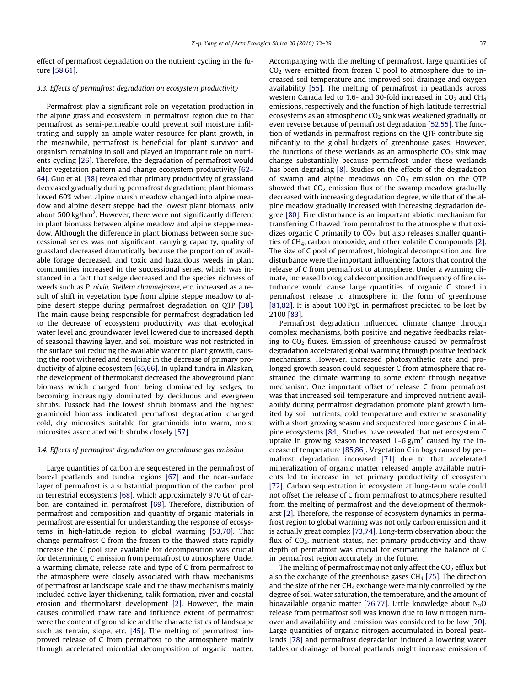effect of permafrost degradation on the nutrient cycling in the future [\[58,61\].](#page-6-0)

#### 3.3. Effects of permafrost degradation on ecosystem productivity

Permafrost play a significant role on vegetation production in the alpine grassland ecosystem in permafrost region due to that permafrost as semi-permeable could prevent soil moisture infiltrating and supply an ample water resource for plant growth, in the meanwhile, permafrost is beneficial for plant survivor and organism remaining in soil and played an important role on nutrients cycling [\[26\]](#page-6-0). Therefore, the degradation of permafrost would alter vegetation pattern and change ecosystem productivity [\[62–](#page-6-0) [64\]](#page-6-0). Guo et al. [\[38\]](#page-6-0) revealed that primary productivity of grassland decreased gradually during permafrost degradation; plant biomass lowed 60% when alpine marsh meadow changed into alpine meadow and alpine desert steppe had the lowest plant biomass, only about 500 kg/hm<sup>2</sup>. However, there were not significantly different in plant biomass between alpine meadow and alpine steppe meadow. Although the difference in plant biomass between some successional series was not significant, carrying capacity, quality of grassland decreased dramatically because the proportion of available forage decreased, and toxic and hazardous weeds in plant communities increased in the successional series, which was instanced in a fact that sedge decreased and the species richness of weeds such as P. nivia, Stellera chamaejasme, etc. increased as a result of shift in vegetation type from alpine steppe meadow to alpine desert steppe during permafrost degradation on QTP [\[38\].](#page-6-0) The main cause being responsible for permafrost degradation led to the decrease of ecosystem productivity was that ecological water level and groundwater level lowered due to increased depth of seasonal thawing layer, and soil moisture was not restricted in the surface soil reducing the available water to plant growth, causing the root withered and resulting in the decrease of primary productivity of alpine ecosystem [\[65,66\]](#page-6-0). In upland tundra in Alaskan, the development of thermokarst decreased the aboveground plant biomass which changed from being dominated by sedges, to becoming increasingly dominated by deciduous and evergreen shrubs. Tussock had the lowest shrub biomass and the highest graminoid biomass indicated permafrost degradation changed cold, dry microsites suitable for graminoids into warm, moist microsites associated with shrubs closely [\[57\].](#page-6-0)

#### 3.4. Effects of permafrost degradation on greenhouse gas emission

Large quantities of carbon are sequestered in the permafrost of boreal peatlands and tundra regions [\[67\]](#page-6-0) and the near-surface layer of permafrost is a substantial proportion of the carbon pool in terrestrial ecosystems [\[68\],](#page-6-0) which approximately 970 Gt of carbon are contained in permafrost [\[69\].](#page-6-0) Therefore, distribution of permafrost and composition and quantity of organic materials in permafrost are essential for understanding the response of ecosystems in high-latitude region to global warming [\[53,70\].](#page-6-0) That change permafrost C from the frozen to the thawed state rapidly increase the C pool size available for decomposition was crucial for determining C emission from permafrost to atmosphere. Under a warming climate, release rate and type of C from permafrost to the atmosphere were closely associated with thaw mechanisms of permafrost at landscape scale and the thaw mechanisms mainly included active layer thickening, talik formation, river and coastal erosion and thermokarst development [\[2\]](#page-5-0). However, the main causes controlled thaw rate and influence extent of permafrost were the content of ground ice and the characteristics of landscape such as terrain, slope, etc. [\[45\]](#page-6-0). The melting of permafrost improved release of C from permafrost to the atmosphere mainly through accelerated microbial decomposition of organic matter. Accompanying with the melting of permafrost, large quantities of  $CO<sub>2</sub>$  were emitted from frozen C pool to atmosphere due to increased soil temperature and improved soil drainage and oxygen availability [\[55\].](#page-6-0) The melting of permafrost in peatlands across western Canada led to 1.6- and 30-fold increased in  $CO<sub>2</sub>$  and  $CH<sub>4</sub>$ emissions, respectively and the function of high-latitude terrestrial ecosystems as an atmospheric  $CO<sub>2</sub>$  sink was weakened gradually or even reverse because of permafrost degradation [\[52,55\]](#page-6-0). The function of wetlands in permafrost regions on the QTP contribute significantly to the global budgets of greenhouse gases. However, the functions of these wetlands as an atmospheric  $CO<sub>2</sub>$  sink may change substantially because permafrost under these wetlands has been degrading [\[8\]](#page-5-0). Studies on the effects of the degradation of swamp and alpine meadows on  $CO<sub>2</sub>$  emission on the QTP showed that  $CO<sub>2</sub>$  emission flux of the swamp meadow gradually decreased with increasing degradation degree, while that of the alpine meadow gradually increased with increasing degradation degree [\[80\].](#page-6-0) Fire disturbance is an important abiotic mechanism for transferring C thawed from permafrost to the atmosphere that oxidizes organic C primarily to  $CO<sub>2</sub>$ , but also releases smaller quantities of CH4, carbon monoxide, and other volatile C compounds [\[2\].](#page-5-0) The size of C pool of permafrost, biological decomposition and fire disturbance were the important influencing factors that control the release of C from permafrost to atmosphere. Under a warming climate, increased biological decomposition and frequency of fire disturbance would cause large quantities of organic C stored in permafrost release to atmosphere in the form of greenhouse [\[81,82\]](#page-6-0). It is about 100 PgC in permafrost predicted to be lost by 2100 [\[83\].](#page-6-0)

Permafrost degradation influenced climate change through complex mechanisms, both positive and negative feedbacks relating to  $CO<sub>2</sub>$  fluxes. Emission of greenhouse caused by permafrost degradation accelerated global warming through positive feedback mechanisms. However, increased photosynthetic rate and prolonged growth season could sequester C from atmosphere that restrained the climate warming to some extent through negative mechanism. One important offset of release C from permafrost was that increased soil temperature and improved nutrient availability during permafrost degradation promote plant growth limited by soil nutrients, cold temperature and extreme seasonality with a short growing season and sequestered more gaseous C in alpine ecosystems [\[84\]](#page-6-0). Studies have revealed that net ecosystem C uptake in growing season increased  $1-6$  g/m<sup>2</sup> caused by the increase of temperature [\[85,86\]](#page-6-0). Vegetation C in bogs caused by permafrost degradation increased [\[71\]](#page-6-0) due to that accelerated mineralization of organic matter released ample available nutrients led to increase in net primary productivity of ecosystem [\[72\]](#page-6-0). Carbon sequestration in ecosystem at long-term scale could not offset the release of C from permafrost to atmosphere resulted from the melting of permafrost and the development of thermokarst [\[2\]](#page-5-0). Therefore, the response of ecosystem dynamics in permafrost region to global warming was not only carbon emission and it is actually great complex [\[73,74\]](#page-6-0). Long-term observation about the flux of  $CO<sub>2</sub>$ , nutrient status, net primary productivity and thaw depth of permafrost was crucial for estimating the balance of C in permafrost region accurately in the future.

The melting of permafrost may not only affect the  $CO<sub>2</sub>$  efflux but also the exchange of the greenhouse gases  $CH<sub>4</sub>$  [\[75\].](#page-6-0) The direction and the size of the net  $CH_4$  exchange were mainly controlled by the degree of soil water saturation, the temperature, and the amount of bioavailable organic matter [\[76,77\]](#page-6-0). Little knowledge about  $N_2O$ release from permafrost soil was known due to low nitrogen turnover and availability and emission was considered to be low [\[70\].](#page-6-0) Large quantities of organic nitrogen accumulated in boreal peatlands [\[78\]](#page-6-0) and permafrost degradation induced a lowering water tables or drainage of boreal peatlands might increase emission of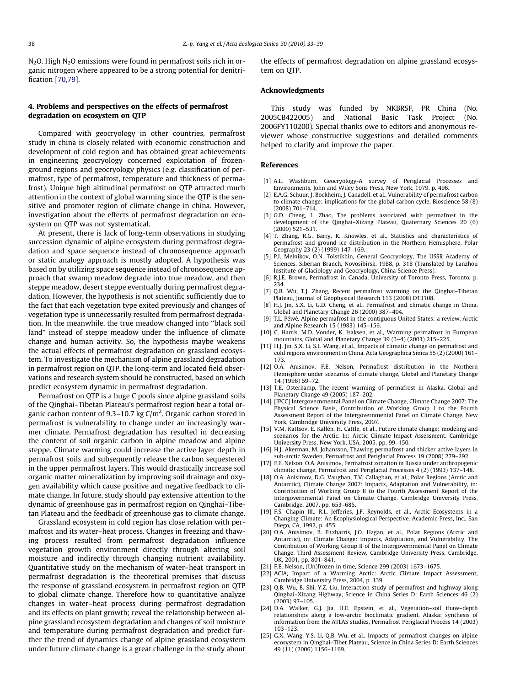<span id="page-5-0"></span> $N_2$ O. High  $N_2$ O emissions were found in permafrost soils rich in organic nitrogen where appeared to be a strong potential for denitrification [\[70,79\]](#page-6-0).

## 4. Problems and perspectives on the effects of permafrost degradation on ecosystem on QTP

Compared with geocryology in other countries, permafrost study in china is closely related with economic construction and development of cold region and has obtained great achievements in engineering geocryology concerned exploitation of frozenground regions and geocryology physics (e.g. classification of permafrost, type of permafrost, temperature and thickness of permafrost). Unique high altitudinal permafrost on QTP attracted much attention in the context of global warming since the QTP is the sensitive and promoter region of climate change in china. However, investigation about the effects of permafrost degradation on ecosystem on QTP was not systematical.

At present, there is lack of long-term observations in studying succession dynamic of alpine ecosystem during permafrost degradation and space sequence instead of chronosequence approach or static analogy approach is mostly adopted. A hypothesis was based on by utilizing space sequence instead of chronosequence approach that swamp meadow degrade into true meadow, and then steppe meadow, desert steppe eventually during permafrost degradation. However, the hypothesis is not scientific sufficiently due to the fact that each vegetation type exited previously and changes of vegetation type is unnecessarily resulted from permafrost degradation. In the meanwhile, the true meadow changed into ''black soil land" instead of steppe meadow under the influence of climate change and human activity. So, the hypothesis maybe weakens the actual effects of permafrost degradation on grassland ecosystem. To investigate the mechanism of alpine grassland degradation in permafrost region on QTP, the long-term and located field observations and research system should be constructed, based on which predict ecosystem dynamic in permafrost degradation.

Permafrost on QTP is a huge C pools since alpine grassland soils of the Qinghai–Tibetan Plateau's permafrost region bear a total organic carbon content of 9.3–10.7 kg C/m<sup>2</sup>. Organic carbon stored in permafrost is vulnerability to change under an increasingly warmer climate. Permafrost degradation has resulted in decreasing the content of soil organic carbon in alpine meadow and alpine steppe. Climate warming could increase the active layer depth in permafrost soils and subsequently release the carbon sequestered in the upper permafrost layers. This would drastically increase soil organic matter mineralization by improving soil drainage and oxygen availability which cause positive and negative feedback to climate change. In future, study should pay extensive attention to the dynamic of greenhouse gas in permafrost region on Qinghai–Tibetan Plateau and the feedback of greenhouse gas to climate change.

Grassland ecosystem in cold region has close relation with permafrost and its water–heat process. Changes in freezing and thawing process resulted from permafrost degradation influence vegetation growth environment directly through altering soil moisture and indirectly through changing nutrient availability. Quantitative study on the mechanism of water–heat transport in permafrost degradation is the theoretical premises that discuss the response of grassland ecosystem in permafrost region on QTP to global climate change. Therefore how to quantitative analyze changes in water–heat process during permafrost degradation and its effects on plant growth; reveal the relationship between alpine grassland ecosystem degradation and changes of soil moisture and temperature during permafrost degradation and predict further the trend of dynamics change of alpine grassland ecosystem under future climate change is a great challenge in the study about the effects of permafrost degradation on alpine grassland ecosystem on QTP.

#### Acknowledgments

This study was funded by NKBRSF, PR China (No. 2005CB422005) and National Basic Task Project (No. 2006FY110200). Special thanks owe to editors and anonymous reviewer whose constructive suggestions and detailed comments helped to clarify and improve the paper.

#### References

- [1] A.L. Washburn, Geocryology-A survey of Periglacial Processes and Environments, John and Wiley Sons Press, New York, 1979. p. 496.
- [2] E.A.G. Schuur, J. Bockheim, J. Canadell, et al., Vulnerability of permafrost carbon to climate change: implications for the global carbon cycle, Bioscience 58 (8) (2008) 701–714.
- [3] G.D. Cheng, L. Zhao, The problems associated with permafrost in the development of the Qinghai–Xizang Plateau, Quaternary Sciences 20 (6) (2000) 521–531.
- [4] T. Zhang, R.G. Barry, K. Knowles, et al., Statistics and characteristics of permafrost and ground ice distribution in the Northern Hemisphere, Polar Geography 23 (2) (1999) 147–169.
- [5] P.I. Melnikov, O.N. Tolstikhin, General Geocryology, The USSR Academy of Sciences, Siberian Branch, Novosibirsk, 1988, p. 318 (Translated by Lanzhou Institute of Glaciology and Geocryology, China Science Press).
- [6] R.J.E. Brown, Permafrost in Canada, University of Toronto Press, Toronto, p. 234.
- [7] Q.B. Wu, T.J. Zhang, Recent permafrost warming on the Qinghai–Tibetan Plateau, Journal of Geophysical Research 113 (2008) D13108.
- [8] H.J. Jin, S.X. Li, G.D. Cheng, et al., Permafrost and climatic change in China, Global and Planetary Change 26 (2000) 387–404.
- [9] T.L. Péwé, Alpine permafrost in the contiguous United States: a review, Arctic and Alpine Research 15 (1983) 145–156.
- [10] C. Harris, M.D. Vonder, K. Isaksen, et al., Warming permafrost in European mountains, Global and Planetary Change 39 (3–4) (2003) 215–225.
- [11] H.J. Jin, S.X. Li, S.L. Wang, et al., Impacts of climatic change on permafrost and cold regions environment in China, Acta Geographica Sinica 55 (2) (2000) 161– 173.
- [12] O.A. Anisimov, F.E. Nelson, Permafrost distribution in the Northern Hemisphere under scenarios of climate change, Global and Planetary Change 14 (1996) 59–72.
- [13] T.E. Osterkamp, The recent warming of permafrost in Alaska, Global and Planetary Change 49 (2005) 187–202.
- [14] [IPCC] Intergovernmental Panel on Climate Change, Climate Change 2007: The Physical Science Basis, Contribution of Working Group I to the Fourth Assessment Report of the Intergovernmental Panel on Climate Change, New York, Cambridge University Press, 2007.
- [15] V.M. Kattsov, E. Kallén, H. Cattle, et al., Future climate change: modeling and scenarios for the Arctic. In: Arctic Climate Impact Assessment. Cambridge University Press, New York, USA, 2005, pp. 99–150.
- [16] H.J. Akerman, M. Johansson, Thawing permafrost and thicker active layers in sub-arctic Sweden, Permafrost and Periglacial Process 19 (2008) 279–292.
- [17] F.E. Nelson, O.A. Anisimov, Permafrost zonation in Russia under anthropogenic climatic change, Permafrost and Periglacial Processes 4 (2) (1993) 137–148.
- [18] O.A. Anisimov, D.G. Vaughan, T.V. Callaghan, et al., Polar Regions (Arctic and Antarctic), Climate Change 2007: Impacts, Adaptation and Vulnerability, in: Contribution of Working Group II to the Fourth Assessment Report of the Intergovernmental Panel on Climate Change, Cambridge University Press, Cambridge, 2007, pp. 653–685.
- [19] F.S. Chapin III., R.L. Jefferies, J.F. Reynolds, et al., Arctic Ecosystems in a Changing Climate: An Ecophysiological Perspective. Academic Press, Inc., San Diego, CA, 1992, p. 455.
- [20] O.A. Anisimov, B. Fitzharris, J.O. Hagan, et al., Polar Regions (Arctic and Antarctic), in: Climate Change: Impacts, Adaptation, and Vulnerability, The Contribution of Working Group II of the Intergovernmental Panel on Climate Change, Third Assessment Review, Cambridge University Press, Cambridge, UK, 2001, pp. 801–841.
- [21] F.E. Nelson, (Un)frozen in time, Science 299 (2003) 1673–1675.
- [22] ACIA, Impact of a Warming Arctic: Arctic Climate Impact Assessment, Cambridge University Press, 2004, p. 139.
- [23] Q.B. Wu, B. Shi, Y.Z. Liu, Interaction study of permafrost and highway along Qinghai–Xizang Highway, Science in China Series D: Earth Sciences 46 (2) (2003) 97–105.
- [24] D.A. Walker, G.J. Jia, H.E. Epstein, et al., Vegetation–soil thaw–depth relationships along a low-arctic bioclimatic gradient, Alaska: synthesis of information from the ATLAS studies, Permafrost Periglacial Process 14 (2003) 103–123.
- [25] G.X. Wang, Y.S. Li, Q.B. Wu, et al., Impacts of permafrost changes on alpine ecosystem in Qinghai–Tibet Plateau, Science in China Series D: Earth Sciences 49 (11) (2006) 1156–1169.